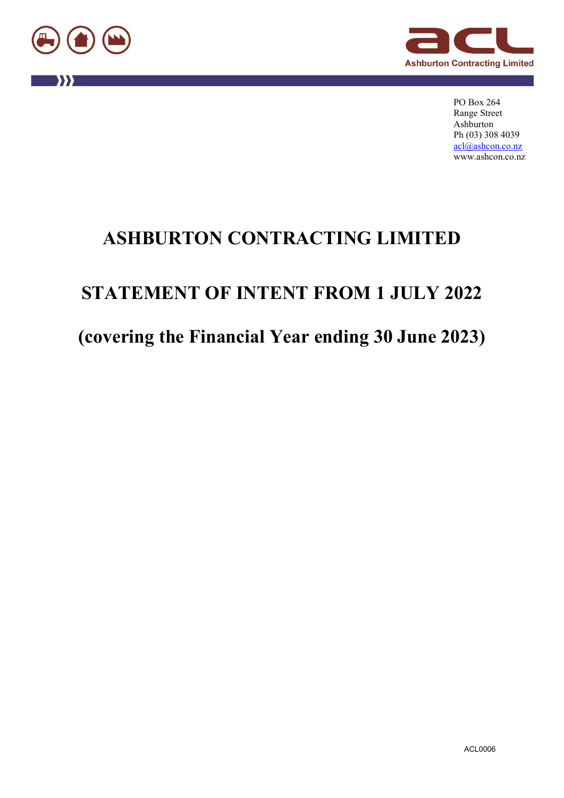

"



PO Box 264 Range Street Ashburton Ph (03) 308 4039 [acl@ashcon.co.nz](mailto:acl@ashcon.co.nz) www.ashcon.co.nz

# **ASHBURTON CONTRACTING LIMITED**

# **STATEMENT OF INTENT FROM 1 JULY 2022**

# **(covering the Financial Year ending 30 June 2023)**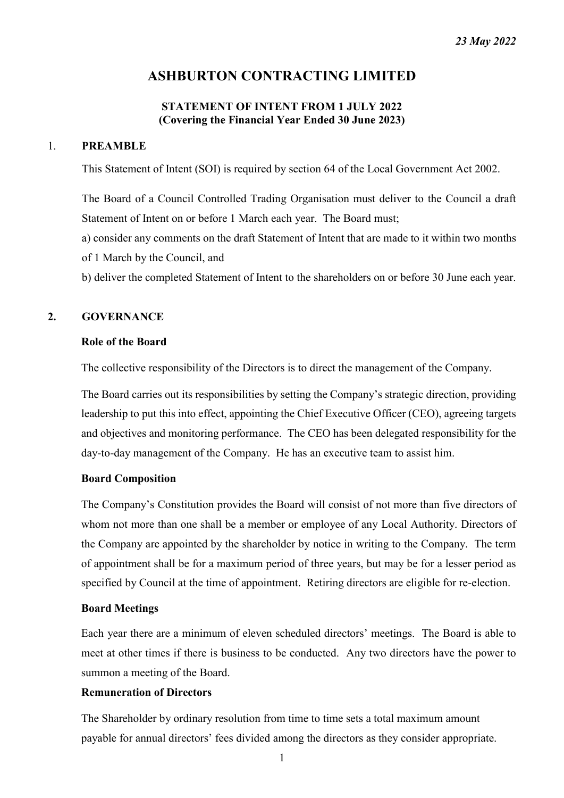# **ASHBURTON CONTRACTING LIMITED**

# **STATEMENT OF INTENT FROM 1 JULY 2022 (Covering the Financial Year Ended 30 June 2023)**

## 1. **PREAMBLE**

This Statement of Intent (SOI) is required by section 64 of the Local Government Act 2002.

The Board of a Council Controlled Trading Organisation must deliver to the Council a draft Statement of Intent on or before 1 March each year. The Board must;

a) consider any comments on the draft Statement of Intent that are made to it within two months of 1 March by the Council, and

b) deliver the completed Statement of Intent to the shareholders on or before 30 June each year.

# **2. GOVERNANCE**

## **Role of the Board**

The collective responsibility of the Directors is to direct the management of the Company.

The Board carries out its responsibilities by setting the Company's strategic direction, providing leadership to put this into effect, appointing the Chief Executive Officer (CEO), agreeing targets and objectives and monitoring performance. The CEO has been delegated responsibility for the day-to-day management of the Company. He has an executive team to assist him.

#### **Board Composition**

The Company's Constitution provides the Board will consist of not more than five directors of whom not more than one shall be a member or employee of any Local Authority. Directors of the Company are appointed by the shareholder by notice in writing to the Company. The term of appointment shall be for a maximum period of three years, but may be for a lesser period as specified by Council at the time of appointment. Retiring directors are eligible for re-election.

#### **Board Meetings**

Each year there are a minimum of eleven scheduled directors' meetings. The Board is able to meet at other times if there is business to be conducted. Any two directors have the power to summon a meeting of the Board.

#### **Remuneration of Directors**

The Shareholder by ordinary resolution from time to time sets a total maximum amount payable for annual directors' fees divided among the directors as they consider appropriate.

1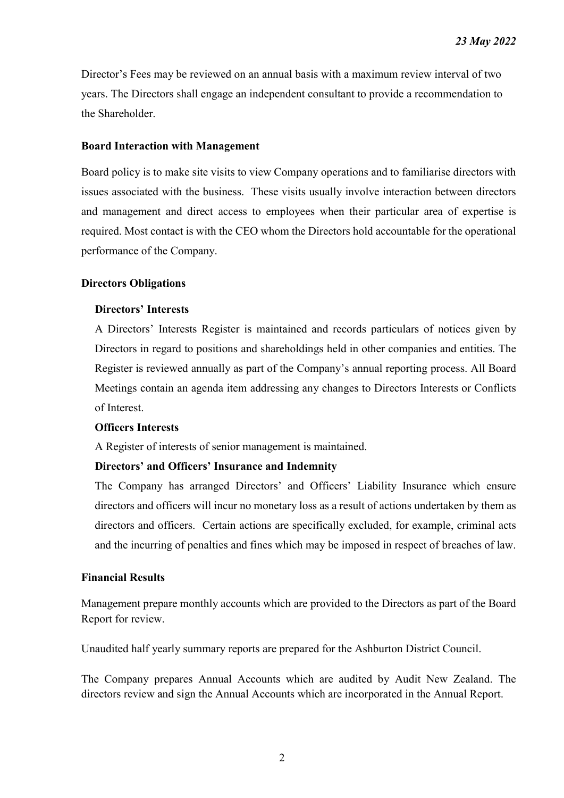Director's Fees may be reviewed on an annual basis with a maximum review interval of two years. The Directors shall engage an independent consultant to provide a recommendation to the Shareholder.

## **Board Interaction with Management**

Board policy is to make site visits to view Company operations and to familiarise directors with issues associated with the business. These visits usually involve interaction between directors and management and direct access to employees when their particular area of expertise is required. Most contact is with the CEO whom the Directors hold accountable for the operational performance of the Company.

## **Directors Obligations**

## **Directors' Interests**

A Directors' Interests Register is maintained and records particulars of notices given by Directors in regard to positions and shareholdings held in other companies and entities. The Register is reviewed annually as part of the Company's annual reporting process. All Board Meetings contain an agenda item addressing any changes to Directors Interests or Conflicts of Interest.

#### **Officers Interests**

A Register of interests of senior management is maintained.

#### **Directors' and Officers' Insurance and Indemnity**

The Company has arranged Directors' and Officers' Liability Insurance which ensure directors and officers will incur no monetary loss as a result of actions undertaken by them as directors and officers. Certain actions are specifically excluded, for example, criminal acts and the incurring of penalties and fines which may be imposed in respect of breaches of law.

## **Financial Results**

Management prepare monthly accounts which are provided to the Directors as part of the Board Report for review.

Unaudited half yearly summary reports are prepared for the Ashburton District Council.

The Company prepares Annual Accounts which are audited by Audit New Zealand. The directors review and sign the Annual Accounts which are incorporated in the Annual Report.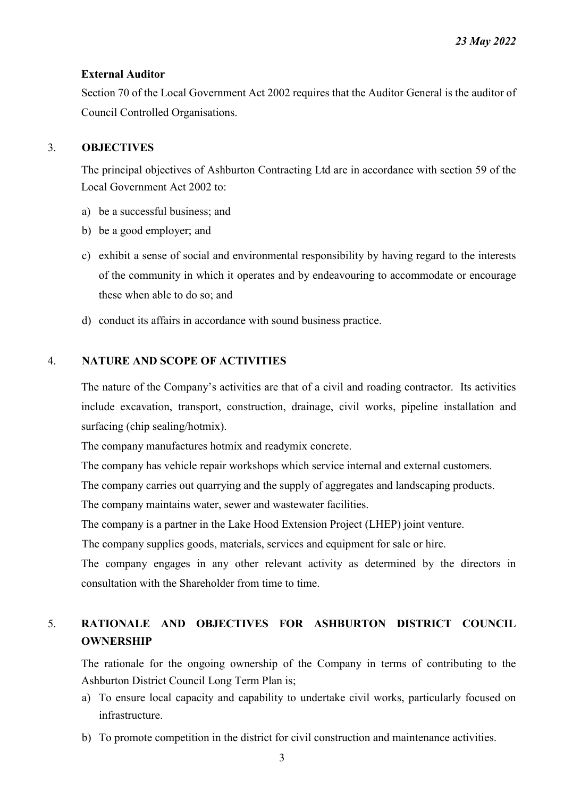## **External Auditor**

Section 70 of the Local Government Act 2002 requires that the Auditor General is the auditor of Council Controlled Organisations.

# 3. **OBJECTIVES**

The principal objectives of Ashburton Contracting Ltd are in accordance with section 59 of the Local Government Act 2002 to:

- a) be a successful business; and
- b) be a good employer; and
- c) exhibit a sense of social and environmental responsibility by having regard to the interests of the community in which it operates and by endeavouring to accommodate or encourage these when able to do so; and
- d) conduct its affairs in accordance with sound business practice.

# 4. **NATURE AND SCOPE OF ACTIVITIES**

The nature of the Company's activities are that of a civil and roading contractor. Its activities include excavation, transport, construction, drainage, civil works, pipeline installation and surfacing (chip sealing/hotmix).

The company manufactures hotmix and readymix concrete.

The company has vehicle repair workshops which service internal and external customers.

The company carries out quarrying and the supply of aggregates and landscaping products.

The company maintains water, sewer and wastewater facilities.

The company is a partner in the Lake Hood Extension Project (LHEP) joint venture.

The company supplies goods, materials, services and equipment for sale or hire.

The company engages in any other relevant activity as determined by the directors in consultation with the Shareholder from time to time.

# 5. **RATIONALE AND OBJECTIVES FOR ASHBURTON DISTRICT COUNCIL OWNERSHIP**

The rationale for the ongoing ownership of the Company in terms of contributing to the Ashburton District Council Long Term Plan is;

- a) To ensure local capacity and capability to undertake civil works, particularly focused on infrastructure.
- b) To promote competition in the district for civil construction and maintenance activities.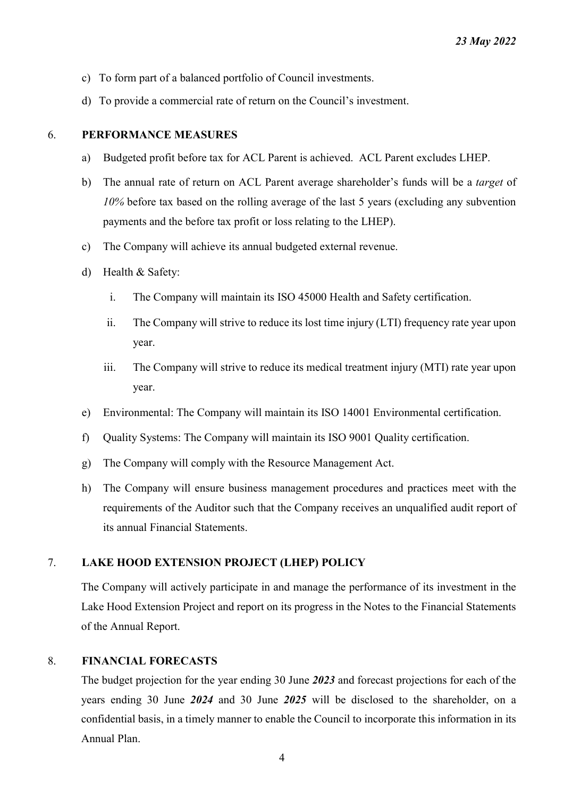- c) To form part of a balanced portfolio of Council investments.
- d) To provide a commercial rate of return on the Council's investment.

## 6. **PERFORMANCE MEASURES**

- a) Budgeted profit before tax for ACL Parent is achieved. ACL Parent excludes LHEP.
- b) The annual rate of return on ACL Parent average shareholder's funds will be a *target* of *10%* before tax based on the rolling average of the last 5 years (excluding any subvention payments and the before tax profit or loss relating to the LHEP).
- c) The Company will achieve its annual budgeted external revenue.
- d) Health & Safety:
	- i. The Company will maintain its ISO 45000 Health and Safety certification.
	- ii. The Company will strive to reduce its lost time injury (LTI) frequency rate year upon year.
	- iii. The Company will strive to reduce its medical treatment injury (MTI) rate year upon year.
- e) Environmental: The Company will maintain its ISO 14001 Environmental certification.
- f) Quality Systems: The Company will maintain its ISO 9001 Quality certification.
- g) The Company will comply with the Resource Management Act.
- h) The Company will ensure business management procedures and practices meet with the requirements of the Auditor such that the Company receives an unqualified audit report of its annual Financial Statements.

# 7. **LAKE HOOD EXTENSION PROJECT (LHEP) POLICY**

The Company will actively participate in and manage the performance of its investment in the Lake Hood Extension Project and report on its progress in the Notes to the Financial Statements of the Annual Report.

# 8. **FINANCIAL FORECASTS**

The budget projection for the year ending 30 June *2023* and forecast projections for each of the years ending 30 June *2024* and 30 June *2025* will be disclosed to the shareholder, on a confidential basis, in a timely manner to enable the Council to incorporate this information in its Annual Plan.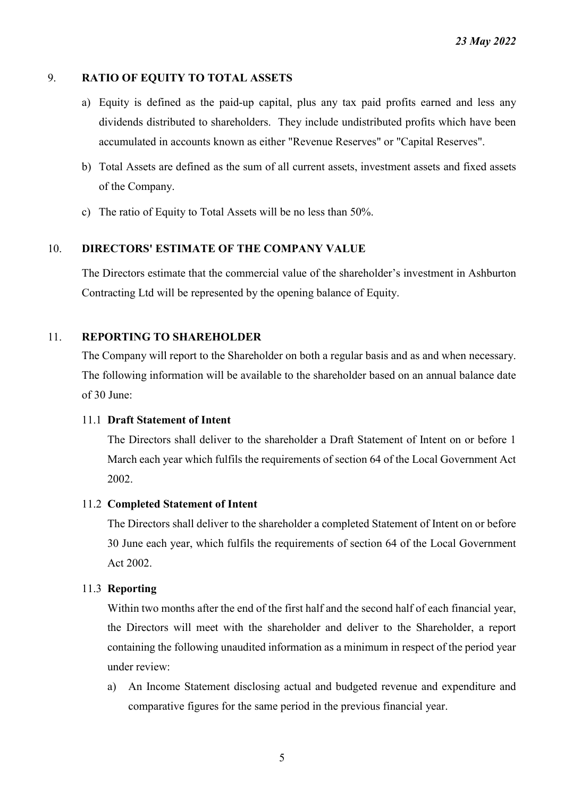# 9. **RATIO OF EQUITY TO TOTAL ASSETS**

- a) Equity is defined as the paid-up capital, plus any tax paid profits earned and less any dividends distributed to shareholders. They include undistributed profits which have been accumulated in accounts known as either "Revenue Reserves" or "Capital Reserves".
- b) Total Assets are defined as the sum of all current assets, investment assets and fixed assets of the Company.
- c) The ratio of Equity to Total Assets will be no less than 50%.

# 10. **DIRECTORS' ESTIMATE OF THE COMPANY VALUE**

The Directors estimate that the commercial value of the shareholder's investment in Ashburton Contracting Ltd will be represented by the opening balance of Equity.

# 11. **REPORTING TO SHAREHOLDER**

The Company will report to the Shareholder on both a regular basis and as and when necessary. The following information will be available to the shareholder based on an annual balance date of 30 June:

# 11.1 **Draft Statement of Intent**

The Directors shall deliver to the shareholder a Draft Statement of Intent on or before 1 March each year which fulfils the requirements of section 64 of the Local Government Act 2002.

# 11.2 **Completed Statement of Intent**

The Directors shall deliver to the shareholder a completed Statement of Intent on or before 30 June each year, which fulfils the requirements of section 64 of the Local Government Act 2002.

# 11.3 **Reporting**

Within two months after the end of the first half and the second half of each financial year, the Directors will meet with the shareholder and deliver to the Shareholder, a report containing the following unaudited information as a minimum in respect of the period year under review:

a) An Income Statement disclosing actual and budgeted revenue and expenditure and comparative figures for the same period in the previous financial year.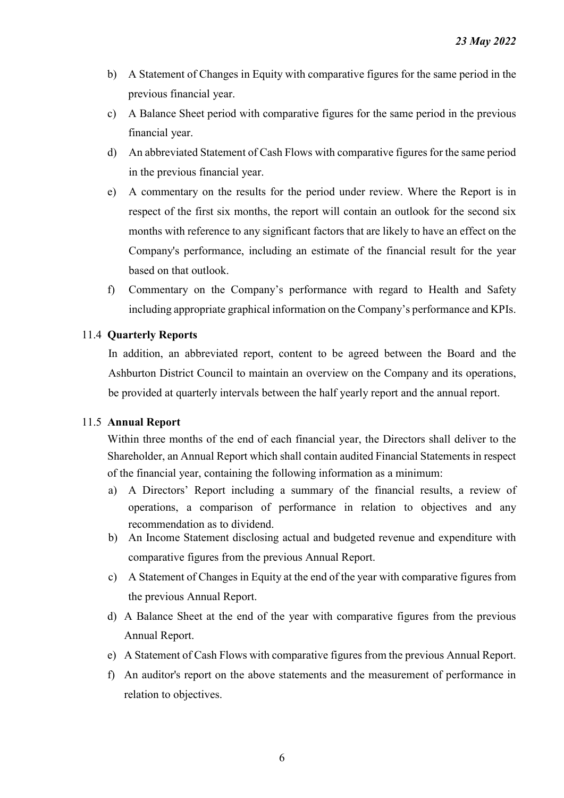- b) A Statement of Changes in Equity with comparative figures for the same period in the previous financial year.
- c) A Balance Sheet period with comparative figures for the same period in the previous financial year.
- d) An abbreviated Statement of Cash Flows with comparative figures for the same period in the previous financial year.
- e) A commentary on the results for the period under review. Where the Report is in respect of the first six months, the report will contain an outlook for the second six months with reference to any significant factors that are likely to have an effect on the Company's performance, including an estimate of the financial result for the year based on that outlook.
- f) Commentary on the Company's performance with regard to Health and Safety including appropriate graphical information on the Company's performance and KPIs.

# 11.4 **Quarterly Reports**

In addition, an abbreviated report, content to be agreed between the Board and the Ashburton District Council to maintain an overview on the Company and its operations, be provided at quarterly intervals between the half yearly report and the annual report.

# 11.5 **Annual Report**

Within three months of the end of each financial year, the Directors shall deliver to the Shareholder, an Annual Report which shall contain audited Financial Statements in respect of the financial year, containing the following information as a minimum:

- a) A Directors' Report including a summary of the financial results, a review of operations, a comparison of performance in relation to objectives and any recommendation as to dividend.
- b) An Income Statement disclosing actual and budgeted revenue and expenditure with comparative figures from the previous Annual Report.
- c) A Statement of Changes in Equity at the end of the year with comparative figures from the previous Annual Report.
- d) A Balance Sheet at the end of the year with comparative figures from the previous Annual Report.
- e) A Statement of Cash Flows with comparative figures from the previous Annual Report.
- f) An auditor's report on the above statements and the measurement of performance in relation to objectives.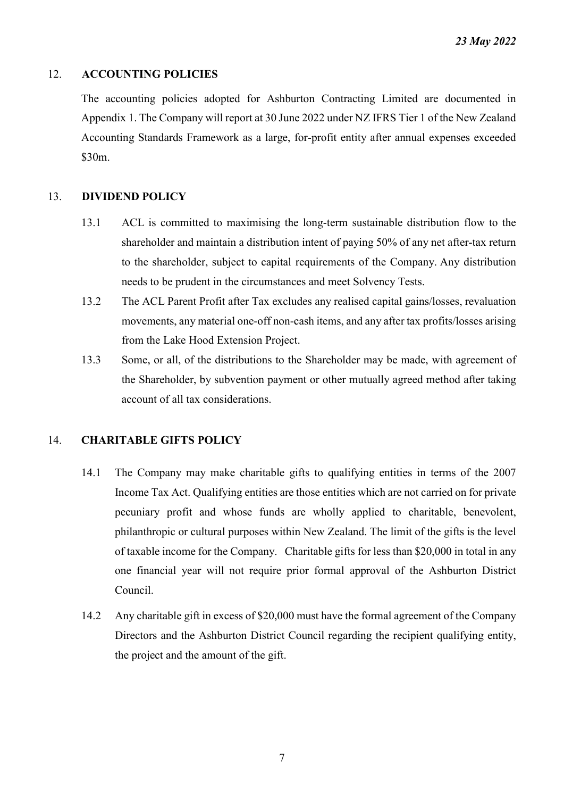# 12. **ACCOUNTING POLICIES**

The accounting policies adopted for Ashburton Contracting Limited are documented in Appendix 1. The Company will report at 30 June 2022 under NZ IFRS Tier 1 of the New Zealand Accounting Standards Framework as a large, for-profit entity after annual expenses exceeded \$30m.

# 13. **DIVIDEND POLICY**

- 13.1 ACL is committed to maximising the long-term sustainable distribution flow to the shareholder and maintain a distribution intent of paying 50% of any net after-tax return to the shareholder, subject to capital requirements of the Company. Any distribution needs to be prudent in the circumstances and meet Solvency Tests.
- 13.2 The ACL Parent Profit after Tax excludes any realised capital gains/losses, revaluation movements, any material one-off non-cash items, and any after tax profits/losses arising from the Lake Hood Extension Project.
- 13.3 Some, or all, of the distributions to the Shareholder may be made, with agreement of the Shareholder, by subvention payment or other mutually agreed method after taking account of all tax considerations.

# 14. **CHARITABLE GIFTS POLICY**

- 14.1 The Company may make charitable gifts to qualifying entities in terms of the 2007 Income Tax Act. Qualifying entities are those entities which are not carried on for private pecuniary profit and whose funds are wholly applied to charitable, benevolent, philanthropic or cultural purposes within New Zealand. The limit of the gifts is the level of taxable income for the Company. Charitable gifts for less than \$20,000 in total in any one financial year will not require prior formal approval of the Ashburton District Council.
- 14.2 Any charitable gift in excess of \$20,000 must have the formal agreement of the Company Directors and the Ashburton District Council regarding the recipient qualifying entity, the project and the amount of the gift.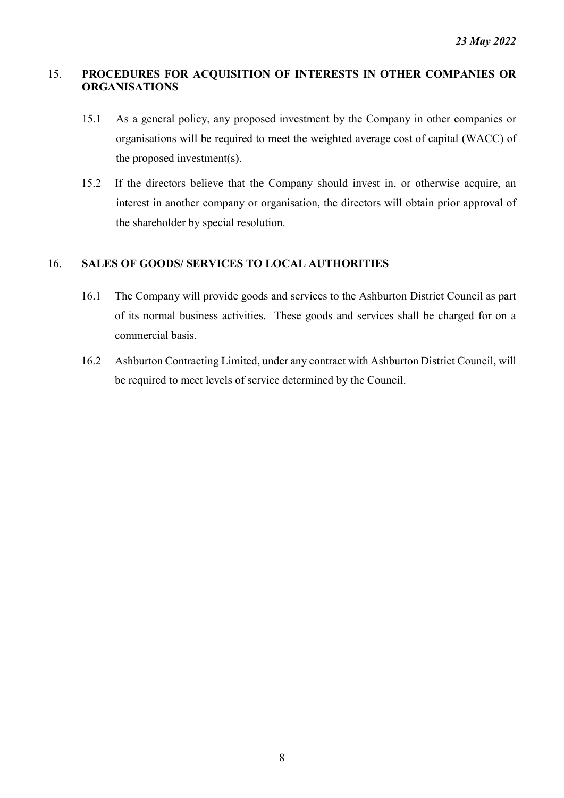# 15. **PROCEDURES FOR ACQUISITION OF INTERESTS IN OTHER COMPANIES OR ORGANISATIONS**

- 15.1 As a general policy, any proposed investment by the Company in other companies or organisations will be required to meet the weighted average cost of capital (WACC) of the proposed investment(s).
- 15.2 If the directors believe that the Company should invest in, or otherwise acquire, an interest in another company or organisation, the directors will obtain prior approval of the shareholder by special resolution.

# 16. **SALES OF GOODS/ SERVICES TO LOCAL AUTHORITIES**

- 16.1 The Company will provide goods and services to the Ashburton District Council as part of its normal business activities. These goods and services shall be charged for on a commercial basis.
- 16.2 Ashburton Contracting Limited, under any contract with Ashburton District Council, will be required to meet levels of service determined by the Council.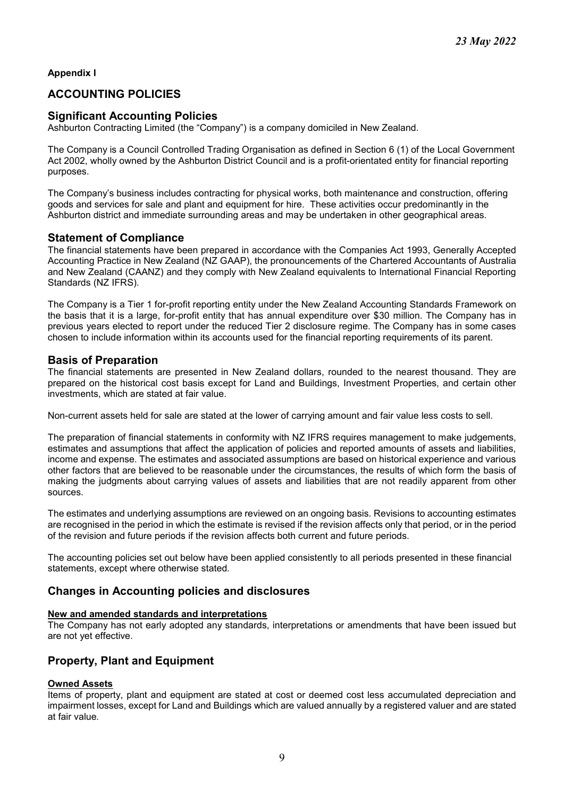**Appendix I**

# **ACCOUNTING POLICIES**

## **Significant Accounting Policies**

Ashburton Contracting Limited (the "Company") is a company domiciled in New Zealand.

The Company is a Council Controlled Trading Organisation as defined in Section 6 (1) of the Local Government Act 2002, wholly owned by the Ashburton District Council and is a profit-orientated entity for financial reporting purposes.

The Company's business includes contracting for physical works, both maintenance and construction, offering goods and services for sale and plant and equipment for hire. These activities occur predominantly in the Ashburton district and immediate surrounding areas and may be undertaken in other geographical areas.

## **Statement of Compliance**

The financial statements have been prepared in accordance with the Companies Act 1993, Generally Accepted Accounting Practice in New Zealand (NZ GAAP), the pronouncements of the Chartered Accountants of Australia and New Zealand (CAANZ) and they comply with New Zealand equivalents to International Financial Reporting Standards (NZ IFRS).

The Company is a Tier 1 for-profit reporting entity under the New Zealand Accounting Standards Framework on the basis that it is a large, for-profit entity that has annual expenditure over \$30 million. The Company has in previous years elected to report under the reduced Tier 2 disclosure regime. The Company has in some cases chosen to include information within its accounts used for the financial reporting requirements of its parent.

## **Basis of Preparation**

The financial statements are presented in New Zealand dollars, rounded to the nearest thousand. They are prepared on the historical cost basis except for Land and Buildings, Investment Properties, and certain other investments, which are stated at fair value.

Non-current assets held for sale are stated at the lower of carrying amount and fair value less costs to sell.

The preparation of financial statements in conformity with NZ IFRS requires management to make judgements, estimates and assumptions that affect the application of policies and reported amounts of assets and liabilities, income and expense. The estimates and associated assumptions are based on historical experience and various other factors that are believed to be reasonable under the circumstances, the results of which form the basis of making the judgments about carrying values of assets and liabilities that are not readily apparent from other sources.

The estimates and underlying assumptions are reviewed on an ongoing basis. Revisions to accounting estimates are recognised in the period in which the estimate is revised if the revision affects only that period, or in the period of the revision and future periods if the revision affects both current and future periods.

The accounting policies set out below have been applied consistently to all periods presented in these financial statements, except where otherwise stated*.*

## **Changes in Accounting policies and disclosures**

#### **New and amended standards and interpretations**

The Company has not early adopted any standards, interpretations or amendments that have been issued but are not yet effective.

## **Property, Plant and Equipment**

#### **Owned Assets**

Items of property, plant and equipment are stated at cost or deemed cost less accumulated depreciation and impairment losses, except for Land and Buildings which are valued annually by a registered valuer and are stated at fair value*.*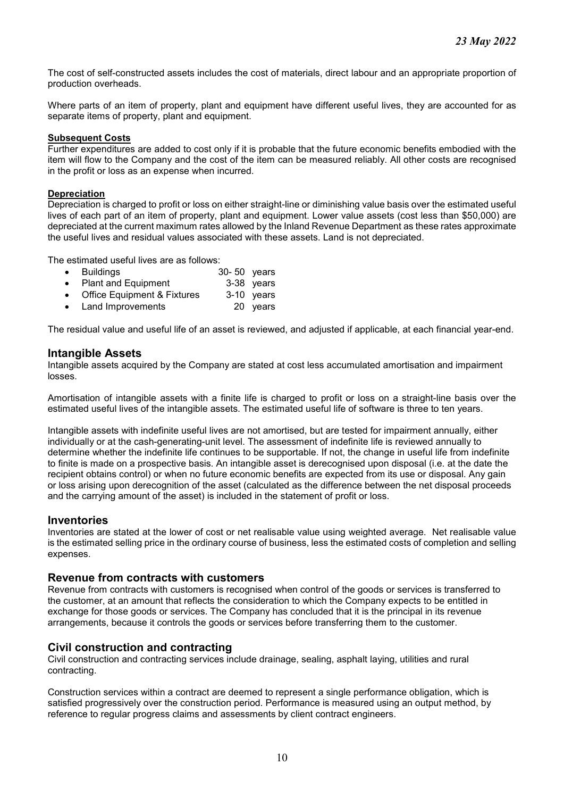The cost of self-constructed assets includes the cost of materials, direct labour and an appropriate proportion of production overheads.

Where parts of an item of property, plant and equipment have different useful lives, they are accounted for as separate items of property, plant and equipment.

#### **Subsequent Costs**

Further expenditures are added to cost only if it is probable that the future economic benefits embodied with the item will flow to the Company and the cost of the item can be measured reliably. All other costs are recognised in the profit or loss as an expense when incurred.

#### **Depreciation**

Depreciation is charged to profit or loss on either straight-line or diminishing value basis over the estimated useful lives of each part of an item of property, plant and equipment. Lower value assets (cost less than \$50,000) are depreciated at the current maximum rates allowed by the Inland Revenue Department as these rates approximate the useful lives and residual values associated with these assets. Land is not depreciated.

The estimated useful lives are as follows:

- Buildings 30- 50 years
- Plant and Equipment
- Office Equipment & Fixtures 3-10 years
- Land Improvements 20 years

The residual value and useful life of an asset is reviewed, and adjusted if applicable, at each financial year-end.

## **Intangible Assets**

Intangible assets acquired by the Company are stated at cost less accumulated amortisation and impairment losses.

Amortisation of intangible assets with a finite life is charged to profit or loss on a straight-line basis over the estimated useful lives of the intangible assets. The estimated useful life of software is three to ten years.

Intangible assets with indefinite useful lives are not amortised, but are tested for impairment annually, either individually or at the cash-generating-unit level. The assessment of indefinite life is reviewed annually to determine whether the indefinite life continues to be supportable. If not, the change in useful life from indefinite to finite is made on a prospective basis. An intangible asset is derecognised upon disposal (i.e. at the date the recipient obtains control) or when no future economic benefits are expected from its use or disposal. Any gain or loss arising upon derecognition of the asset (calculated as the difference between the net disposal proceeds and the carrying amount of the asset) is included in the statement of profit or loss.

#### **Inventories**

Inventories are stated at the lower of cost or net realisable value using weighted average. Net realisable value is the estimated selling price in the ordinary course of business, less the estimated costs of completion and selling expenses.

#### **Revenue from contracts with customers**

Revenue from contracts with customers is recognised when control of the goods or services is transferred to the customer, at an amount that reflects the consideration to which the Company expects to be entitled in exchange for those goods or services. The Company has concluded that it is the principal in its revenue arrangements, because it controls the goods or services before transferring them to the customer.

## **Civil construction and contracting**

Civil construction and contracting services include drainage, sealing, asphalt laying, utilities and rural contracting.

Construction services within a contract are deemed to represent a single performance obligation, which is satisfied progressively over the construction period. Performance is measured using an output method, by reference to regular progress claims and assessments by client contract engineers.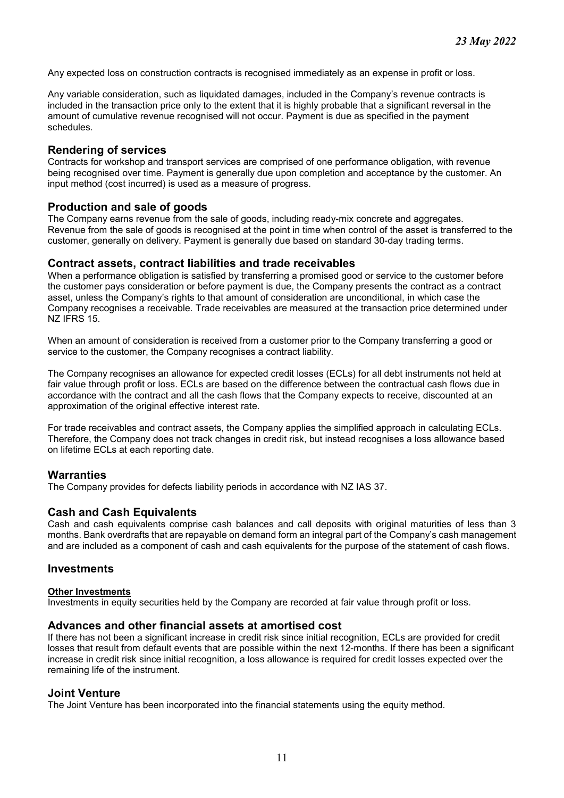Any expected loss on construction contracts is recognised immediately as an expense in profit or loss.

Any variable consideration, such as liquidated damages, included in the Company's revenue contracts is included in the transaction price only to the extent that it is highly probable that a significant reversal in the amount of cumulative revenue recognised will not occur. Payment is due as specified in the payment schedules.

## **Rendering of services**

Contracts for workshop and transport services are comprised of one performance obligation, with revenue being recognised over time. Payment is generally due upon completion and acceptance by the customer. An input method (cost incurred) is used as a measure of progress.

## **Production and sale of goods**

The Company earns revenue from the sale of goods, including ready-mix concrete and aggregates. Revenue from the sale of goods is recognised at the point in time when control of the asset is transferred to the customer, generally on delivery. Payment is generally due based on standard 30-day trading terms.

## **Contract assets, contract liabilities and trade receivables**

When a performance obligation is satisfied by transferring a promised good or service to the customer before the customer pays consideration or before payment is due, the Company presents the contract as a contract asset, unless the Company's rights to that amount of consideration are unconditional, in which case the Company recognises a receivable. Trade receivables are measured at the transaction price determined under NZ IFRS 15.

When an amount of consideration is received from a customer prior to the Company transferring a good or service to the customer, the Company recognises a contract liability.

The Company recognises an allowance for expected credit losses (ECLs) for all debt instruments not held at fair value through profit or loss. ECLs are based on the difference between the contractual cash flows due in accordance with the contract and all the cash flows that the Company expects to receive, discounted at an approximation of the original effective interest rate.

For trade receivables and contract assets, the Company applies the simplified approach in calculating ECLs. Therefore, the Company does not track changes in credit risk, but instead recognises a loss allowance based on lifetime ECLs at each reporting date.

## **Warranties**

The Company provides for defects liability periods in accordance with NZ IAS 37.

## **Cash and Cash Equivalents**

Cash and cash equivalents comprise cash balances and call deposits with original maturities of less than 3 months. Bank overdrafts that are repayable on demand form an integral part of the Company's cash management and are included as a component of cash and cash equivalents for the purpose of the statement of cash flows.

#### **Investments**

#### **Other Investments**

Investments in equity securities held by the Company are recorded at fair value through profit or loss.

#### **Advances and other financial assets at amortised cost**

If there has not been a significant increase in credit risk since initial recognition, ECLs are provided for credit losses that result from default events that are possible within the next 12-months. If there has been a significant increase in credit risk since initial recognition, a loss allowance is required for credit losses expected over the remaining life of the instrument.

#### **Joint Venture**

The Joint Venture has been incorporated into the financial statements using the equity method.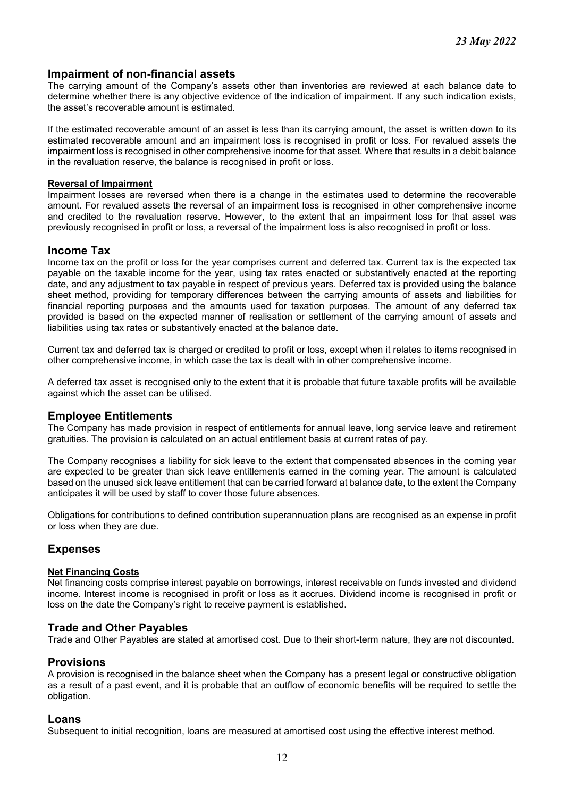## **Impairment of non-financial assets**

The carrying amount of the Company's assets other than inventories are reviewed at each balance date to determine whether there is any objective evidence of the indication of impairment. If any such indication exists, the asset's recoverable amount is estimated.

If the estimated recoverable amount of an asset is less than its carrying amount, the asset is written down to its estimated recoverable amount and an impairment loss is recognised in profit or loss. For revalued assets the impairment loss is recognised in other comprehensive income for that asset. Where that results in a debit balance in the revaluation reserve, the balance is recognised in profit or loss.

#### **Reversal of Impairment**

Impairment losses are reversed when there is a change in the estimates used to determine the recoverable amount. For revalued assets the reversal of an impairment loss is recognised in other comprehensive income and credited to the revaluation reserve. However, to the extent that an impairment loss for that asset was previously recognised in profit or loss, a reversal of the impairment loss is also recognised in profit or loss.

#### **Income Tax**

Income tax on the profit or loss for the year comprises current and deferred tax. Current tax is the expected tax payable on the taxable income for the year, using tax rates enacted or substantively enacted at the reporting date, and any adjustment to tax payable in respect of previous years. Deferred tax is provided using the balance sheet method, providing for temporary differences between the carrying amounts of assets and liabilities for financial reporting purposes and the amounts used for taxation purposes. The amount of any deferred tax provided is based on the expected manner of realisation or settlement of the carrying amount of assets and liabilities using tax rates or substantively enacted at the balance date.

Current tax and deferred tax is charged or credited to profit or loss, except when it relates to items recognised in other comprehensive income, in which case the tax is dealt with in other comprehensive income.

A deferred tax asset is recognised only to the extent that it is probable that future taxable profits will be available against which the asset can be utilised.

#### **Employee Entitlements**

The Company has made provision in respect of entitlements for annual leave, long service leave and retirement gratuities. The provision is calculated on an actual entitlement basis at current rates of pay.

The Company recognises a liability for sick leave to the extent that compensated absences in the coming year are expected to be greater than sick leave entitlements earned in the coming year. The amount is calculated based on the unused sick leave entitlement that can be carried forward at balance date, to the extent the Company anticipates it will be used by staff to cover those future absences.

Obligations for contributions to defined contribution superannuation plans are recognised as an expense in profit or loss when they are due.

## **Expenses**

#### **Net Financing Costs**

Net financing costs comprise interest payable on borrowings, interest receivable on funds invested and dividend income. Interest income is recognised in profit or loss as it accrues. Dividend income is recognised in profit or loss on the date the Company's right to receive payment is established.

## **Trade and Other Payables**

Trade and Other Payables are stated at amortised cost. Due to their short-term nature, they are not discounted.

#### **Provisions**

A provision is recognised in the balance sheet when the Company has a present legal or constructive obligation as a result of a past event, and it is probable that an outflow of economic benefits will be required to settle the obligation.

#### **Loans**

Subsequent to initial recognition, loans are measured at amortised cost using the effective interest method.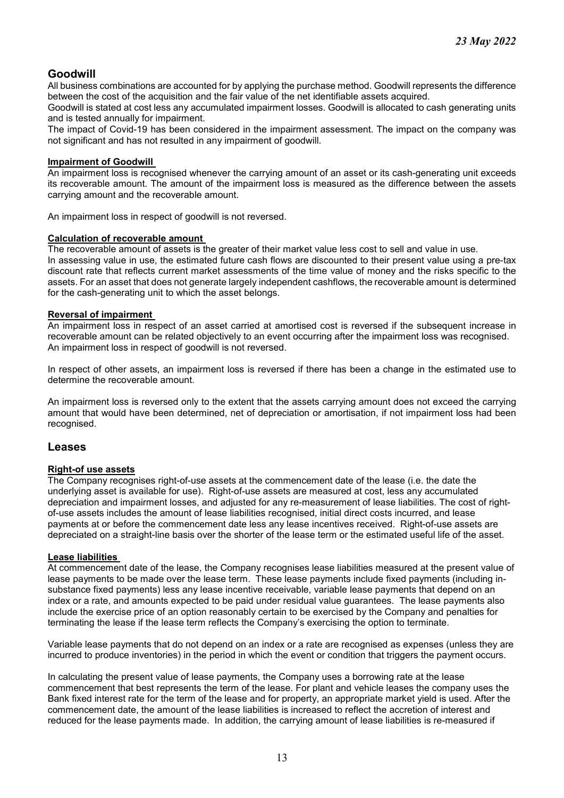# **Goodwill**

All business combinations are accounted for by applying the purchase method. Goodwill represents the difference between the cost of the acquisition and the fair value of the net identifiable assets acquired.

Goodwill is stated at cost less any accumulated impairment losses. Goodwill is allocated to cash generating units and is tested annually for impairment.

The impact of Covid-19 has been considered in the impairment assessment. The impact on the company was not significant and has not resulted in any impairment of goodwill.

#### **Impairment of Goodwill**

An impairment loss is recognised whenever the carrying amount of an asset or its cash-generating unit exceeds its recoverable amount. The amount of the impairment loss is measured as the difference between the assets carrying amount and the recoverable amount.

An impairment loss in respect of goodwill is not reversed.

#### **Calculation of recoverable amount**

The recoverable amount of assets is the greater of their market value less cost to sell and value in use.

In assessing value in use, the estimated future cash flows are discounted to their present value using a pre-tax discount rate that reflects current market assessments of the time value of money and the risks specific to the assets. For an asset that does not generate largely independent cashflows, the recoverable amount is determined for the cash-generating unit to which the asset belongs.

#### **Reversal of impairment**

An impairment loss in respect of an asset carried at amortised cost is reversed if the subsequent increase in recoverable amount can be related objectively to an event occurring after the impairment loss was recognised. An impairment loss in respect of goodwill is not reversed.

In respect of other assets, an impairment loss is reversed if there has been a change in the estimated use to determine the recoverable amount.

An impairment loss is reversed only to the extent that the assets carrying amount does not exceed the carrying amount that would have been determined, net of depreciation or amortisation, if not impairment loss had been recognised.

## **Leases**

#### **Right-of use assets**

The Company recognises right-of-use assets at the commencement date of the lease (i.e. the date the underlying asset is available for use). Right-of-use assets are measured at cost, less any accumulated depreciation and impairment losses, and adjusted for any re-measurement of lease liabilities. The cost of rightof-use assets includes the amount of lease liabilities recognised, initial direct costs incurred, and lease payments at or before the commencement date less any lease incentives received. Right-of-use assets are depreciated on a straight-line basis over the shorter of the lease term or the estimated useful life of the asset.

#### **Lease liabilities**

At commencement date of the lease, the Company recognises lease liabilities measured at the present value of lease payments to be made over the lease term. These lease payments include fixed payments (including insubstance fixed payments) less any lease incentive receivable, variable lease payments that depend on an index or a rate, and amounts expected to be paid under residual value guarantees. The lease payments also include the exercise price of an option reasonably certain to be exercised by the Company and penalties for terminating the lease if the lease term reflects the Company's exercising the option to terminate.

Variable lease payments that do not depend on an index or a rate are recognised as expenses (unless they are incurred to produce inventories) in the period in which the event or condition that triggers the payment occurs.

In calculating the present value of lease payments, the Company uses a borrowing rate at the lease commencement that best represents the term of the lease. For plant and vehicle leases the company uses the Bank fixed interest rate for the term of the lease and for property, an appropriate market yield is used. After the commencement date, the amount of the lease liabilities is increased to reflect the accretion of interest and reduced for the lease payments made. In addition, the carrying amount of lease liabilities is re-measured if